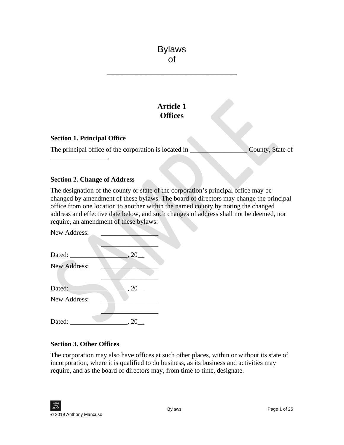# Bylaws of

\_\_\_\_\_\_\_\_\_\_\_\_\_\_\_\_\_\_\_\_\_\_\_\_\_\_

# **Article 1 Offices**

#### **Section 1. Principal Office**

\_\_\_\_\_\_\_\_\_\_\_\_\_\_\_\_\_.

The principal office of the corporation is located in \_\_\_\_\_\_\_\_\_\_\_\_\_\_\_\_\_\_\_\_\_\_\_\_\_\_\_ County, State of

#### **Section 2. Change of Address**

The designation of the county or state of the corporation's principal office may be changed by amendment of these bylaws. The board of directors may change the principal office from one location to another within the named county by noting the changed address and effective date below, and such changes of address shall not be deemed, nor require, an amendment of these bylaws:

| New Address: |      |
|--------------|------|
| Dated:       | , 20 |
| New Address: |      |
| Dated:       | , 20 |
| New Address: |      |
| Dated:       | 20   |

#### **Section 3. Other Offices**

The corporation may also have offices at such other places, within or without its state of incorporation, where it is qualified to do business, as its business and activities may require, and as the board of directors may, from time to time, designate.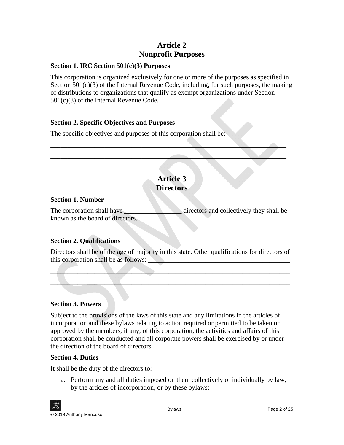# **Article 2 Nonprofit Purposes**

### **Section 1. IRC Section 501(c)(3) Purposes**

This corporation is organized exclusively for one or more of the purposes as specified in Section  $501(c)(3)$  of the Internal Revenue Code, including, for such purposes, the making of distributions to organizations that qualify as exempt organizations under Section 501(c)(3) of the Internal Revenue Code.

### **Section 2. Specific Objectives and Purposes**

The specific objectives and purposes of this corporation shall be:

# **Article 3 Directors**

 $\blacksquare$ \_\_\_\_\_\_\_\_\_\_\_\_\_\_\_\_\_\_\_\_\_\_\_\_\_\_\_\_\_\_\_\_\_\_\_\_\_\_\_\_\_\_\_\_\_\_\_\_\_\_\_\_\_\_\_\_\_\_\_\_\_\_\_\_\_\_\_\_\_\_

#### **Section 1. Number**

The corporation shall have directors and collectively they shall be known as the board of directors.

## **Section 2. Qualifications**

Directors shall be of the age of majority in this state. Other qualifications for directors of this corporation shall be as follows:

 $\blacksquare$ \_\_\_\_\_\_\_\_\_\_\_\_\_\_\_\_\_\_\_\_\_\_\_\_\_\_\_\_\_\_\_\_\_\_\_\_\_\_\_\_\_\_\_\_\_\_\_\_\_\_\_\_\_\_\_\_\_\_\_\_\_\_\_\_\_\_\_\_\_\_\_

#### **Section 3. Powers**

Subject to the provisions of the laws of this state and any limitations in the articles of incorporation and these bylaws relating to action required or permitted to be taken or approved by the members, if any, of this corporation, the activities and affairs of this corporation shall be conducted and all corporate powers shall be exercised by or under the direction of the board of directors.

#### **Section 4. Duties**

It shall be the duty of the directors to:

a. Perform any and all duties imposed on them collectively or individually by law, by the articles of incorporation, or by these bylaws;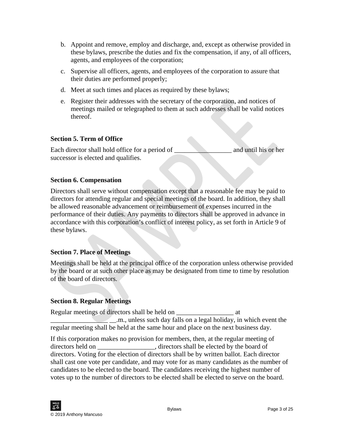- b. Appoint and remove, employ and discharge, and, except as otherwise provided in these bylaws, prescribe the duties and fix the compensation, if any, of all officers, agents, and employees of the corporation;
- c. Supervise all officers, agents, and employees of the corporation to assure that their duties are performed properly;
- d. Meet at such times and places as required by these bylaws;
- e. Register their addresses with the secretary of the corporation, and notices of meetings mailed or telegraphed to them at such addresses shall be valid notices thereof.

## **Section 5. Term of Office**

Each director shall hold office for a period of and until his or her successor is elected and qualifies.

## **Section 6. Compensation**

Directors shall serve without compensation except that a reasonable fee may be paid to directors for attending regular and special meetings of the board. In addition, they shall be allowed reasonable advancement or reimbursement of expenses incurred in the performance of their duties. Any payments to directors shall be approved in advance in accordance with this corporation's conflict of interest policy, as set forth in Article 9 of these bylaws.

## **Section 7. Place of Meetings**

Meetings shall be held at the principal office of the corporation unless otherwise provided by the board or at such other place as may be designated from time to time by resolution of the board of directors.

## **Section 8. Regular Meetings**

Regular meetings of directors shall be held on \_\_\_\_\_\_\_\_\_\_\_\_\_\_\_\_\_\_\_\_\_\_\_\_\_ at \_\_\_\_\_\_\_\_\_\_\_\_\_\_\_\_\_ \_\_.m., unless such day falls on a legal holiday, in which event the regular meeting shall be held at the same hour and place on the next business day.

If this corporation makes no provision for members, then, at the regular meeting of directors held on directors shall be elected by the board of directors. Voting for the election of directors shall be by written ballot. Each director shall cast one vote per candidate, and may vote for as many candidates as the number of candidates to be elected to the board. The candidates receiving the highest number of votes up to the number of directors to be elected shall be elected to serve on the board.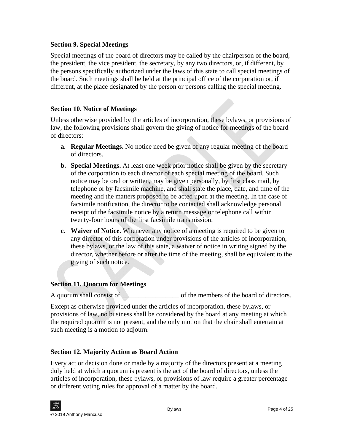#### **Section 9. Special Meetings**

Special meetings of the board of directors may be called by the chairperson of the board, the president, the vice president, the secretary, by any two directors, or, if different, by the persons specifically authorized under the laws of this state to call special meetings of the board. Such meetings shall be held at the principal office of the corporation or, if different, at the place designated by the person or persons calling the special meeting.

#### **Section 10. Notice of Meetings**

Unless otherwise provided by the articles of incorporation, these bylaws, or provisions of law, the following provisions shall govern the giving of notice for meetings of the board of directors:

- **a. Regular Meetings.** No notice need be given of any regular meeting of the board of directors.
- **b. Special Meetings.** At least one week prior notice shall be given by the secretary of the corporation to each director of each special meeting of the board. Such notice may be oral or written, may be given personally, by first class mail, by telephone or by facsimile machine, and shall state the place, date, and time of the meeting and the matters proposed to be acted upon at the meeting. In the case of facsimile notification, the director to be contacted shall acknowledge personal receipt of the facsimile notice by a return message or telephone call within twenty-four hours of the first facsimile transmission.
- **c. Waiver of Notice.** Whenever any notice of a meeting is required to be given to any director of this corporation under provisions of the articles of incorporation, these bylaws, or the law of this state, a waiver of notice in writing signed by the director, whether before or after the time of the meeting, shall be equivalent to the giving of such notice.

#### **Section 11. Quorum for Meetings**

A quorum shall consist of **New System Constanting of the members** of the board of directors.

Except as otherwise provided under the articles of incorporation, these bylaws, or provisions of law, no business shall be considered by the board at any meeting at which the required quorum is not present, and the only motion that the chair shall entertain at such meeting is a motion to adjourn.

#### **Section 12. Majority Action as Board Action**

Every act or decision done or made by a majority of the directors present at a meeting duly held at which a quorum is present is the act of the board of directors, unless the articles of incorporation, these bylaws, or provisions of law require a greater percentage or different voting rules for approval of a matter by the board.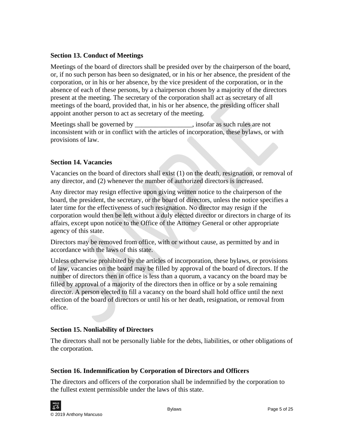#### **Section 13. Conduct of Meetings**

Meetings of the board of directors shall be presided over by the chairperson of the board, or, if no such person has been so designated, or in his or her absence, the president of the corporation, or in his or her absence, by the vice president of the corporation, or in the absence of each of these persons, by a chairperson chosen by a majority of the directors present at the meeting. The secretary of the corporation shall act as secretary of all meetings of the board, provided that, in his or her absence, the presiding officer shall appoint another person to act as secretary of the meeting.

Meetings shall be governed by example insofar as such rules are not inconsistent with or in conflict with the articles of incorporation, these bylaws, or with provisions of law.

## **Section 14. Vacancies**

Vacancies on the board of directors shall exist (1) on the death, resignation, or removal of any director, and (2) whenever the number of authorized directors is increased.

Any director may resign effective upon giving written notice to the chairperson of the board, the president, the secretary, or the board of directors, unless the notice specifies a later time for the effectiveness of such resignation. No director may resign if the corporation would then be left without a duly elected director or directors in charge of its affairs, except upon notice to the Office of the Attorney General or other appropriate agency of this state.

Directors may be removed from office, with or without cause, as permitted by and in accordance with the laws of this state.

Unless otherwise prohibited by the articles of incorporation, these bylaws, or provisions of law, vacancies on the board may be filled by approval of the board of directors. If the number of directors then in office is less than a quorum, a vacancy on the board may be filled by approval of a majority of the directors then in office or by a sole remaining director. A person elected to fill a vacancy on the board shall hold office until the next election of the board of directors or until his or her death, resignation, or removal from office.

#### **Section 15. Nonliability of Directors**

The directors shall not be personally liable for the debts, liabilities, or other obligations of the corporation.

## **Section 16. Indemnification by Corporation of Directors and Officers**

The directors and officers of the corporation shall be indemnified by the corporation to the fullest extent permissible under the laws of this state.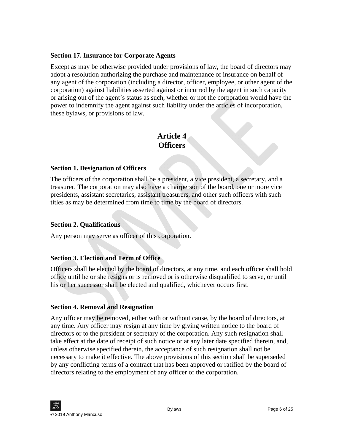#### **Section 17. Insurance for Corporate Agents**

Except as may be otherwise provided under provisions of law, the board of directors may adopt a resolution authorizing the purchase and maintenance of insurance on behalf of any agent of the corporation (including a director, officer, employee, or other agent of the corporation) against liabilities asserted against or incurred by the agent in such capacity or arising out of the agent's status as such, whether or not the corporation would have the power to indemnify the agent against such liability under the articles of incorporation, these bylaws, or provisions of law.

## **Article 4 Officers**

#### **Section 1. Designation of Officers**

The officers of the corporation shall be a president, a vice president, a secretary, and a treasurer. The corporation may also have a chairperson of the board, one or more vice presidents, assistant secretaries, assistant treasurers, and other such officers with such titles as may be determined from time to time by the board of directors.

#### **Section 2. Qualifications**

Any person may serve as officer of this corporation.

#### **Section 3. Election and Term of Office**

Officers shall be elected by the board of directors, at any time, and each officer shall hold office until he or she resigns or is removed or is otherwise disqualified to serve, or until his or her successor shall be elected and qualified, whichever occurs first.

#### **Section 4. Removal and Resignation**

Any officer may be removed, either with or without cause, by the board of directors, at any time. Any officer may resign at any time by giving written notice to the board of directors or to the president or secretary of the corporation. Any such resignation shall take effect at the date of receipt of such notice or at any later date specified therein, and, unless otherwise specified therein, the acceptance of such resignation shall not be necessary to make it effective. The above provisions of this section shall be superseded by any conflicting terms of a contract that has been approved or ratified by the board of directors relating to the employment of any officer of the corporation.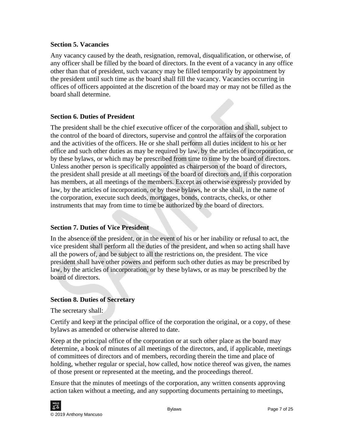#### **Section 5. Vacancies**

Any vacancy caused by the death, resignation, removal, disqualification, or otherwise, of any officer shall be filled by the board of directors. In the event of a vacancy in any office other than that of president, such vacancy may be filled temporarily by appointment by the president until such time as the board shall fill the vacancy. Vacancies occurring in offices of officers appointed at the discretion of the board may or may not be filled as the board shall determine.

#### **Section 6. Duties of President**

The president shall be the chief executive officer of the corporation and shall, subject to the control of the board of directors, supervise and control the affairs of the corporation and the activities of the officers. He or she shall perform all duties incident to his or her office and such other duties as may be required by law, by the articles of incorporation, or by these bylaws, or which may be prescribed from time to time by the board of directors. Unless another person is specifically appointed as chairperson of the board of directors, the president shall preside at all meetings of the board of directors and, if this corporation has members, at all meetings of the members. Except as otherwise expressly provided by law, by the articles of incorporation, or by these bylaws, he or she shall, in the name of the corporation, execute such deeds, mortgages, bonds, contracts, checks, or other instruments that may from time to time be authorized by the board of directors.

#### **Section 7. Duties of Vice President**

In the absence of the president, or in the event of his or her inability or refusal to act, the vice president shall perform all the duties of the president, and when so acting shall have all the powers of, and be subject to all the restrictions on, the president. The vice president shall have other powers and perform such other duties as may be prescribed by law, by the articles of incorporation, or by these bylaws, or as may be prescribed by the board of directors.

#### **Section 8. Duties of Secretary**

The secretary shall:

Certify and keep at the principal office of the corporation the original, or a copy, of these bylaws as amended or otherwise altered to date.

Keep at the principal office of the corporation or at such other place as the board may determine, a book of minutes of all meetings of the directors, and, if applicable, meetings of committees of directors and of members, recording therein the time and place of holding, whether regular or special, how called, how notice thereof was given, the names of those present or represented at the meeting, and the proceedings thereof.

Ensure that the minutes of meetings of the corporation, any written consents approving action taken without a meeting, and any supporting documents pertaining to meetings,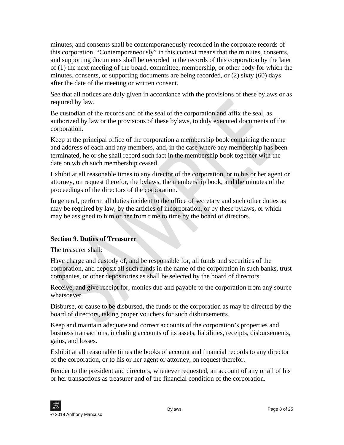minutes, and consents shall be contemporaneously recorded in the corporate records of this corporation. "Contemporaneously" in this context means that the minutes, consents, and supporting documents shall be recorded in the records of this corporation by the later of (1) the next meeting of the board, committee, membership, or other body for which the minutes, consents, or supporting documents are being recorded, or (2) sixty (60) days after the date of the meeting or written consent.

See that all notices are duly given in accordance with the provisions of these bylaws or as required by law.

Be custodian of the records and of the seal of the corporation and affix the seal, as authorized by law or the provisions of these bylaws, to duly executed documents of the corporation.

Keep at the principal office of the corporation a membership book containing the name and address of each and any members, and, in the case where any membership has been terminated, he or she shall record such fact in the membership book together with the date on which such membership ceased.

Exhibit at all reasonable times to any director of the corporation, or to his or her agent or attorney, on request therefor, the bylaws, the membership book, and the minutes of the proceedings of the directors of the corporation.

In general, perform all duties incident to the office of secretary and such other duties as may be required by law, by the articles of incorporation, or by these bylaws, or which may be assigned to him or her from time to time by the board of directors.

#### **Section 9. Duties of Treasurer**

The treasurer shall:

Have charge and custody of, and be responsible for, all funds and securities of the corporation, and deposit all such funds in the name of the corporation in such banks, trust companies, or other depositories as shall be selected by the board of directors.

Receive, and give receipt for, monies due and payable to the corporation from any source whatsoever.

Disburse, or cause to be disbursed, the funds of the corporation as may be directed by the board of directors, taking proper vouchers for such disbursements.

Keep and maintain adequate and correct accounts of the corporation's properties and business transactions, including accounts of its assets, liabilities, receipts, disbursements, gains, and losses.

Exhibit at all reasonable times the books of account and financial records to any director of the corporation, or to his or her agent or attorney, on request therefor.

Render to the president and directors, whenever requested, an account of any or all of his or her transactions as treasurer and of the financial condition of the corporation.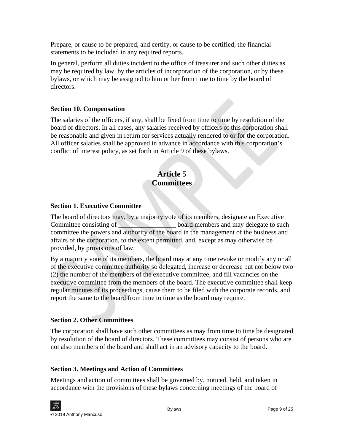Prepare, or cause to be prepared, and certify, or cause to be certified, the financial statements to be included in any required reports.

In general, perform all duties incident to the office of treasurer and such other duties as may be required by law, by the articles of incorporation of the corporation, or by these bylaws, or which may be assigned to him or her from time to time by the board of directors.

#### **Section 10. Compensation**

The salaries of the officers, if any, shall be fixed from time to time by resolution of the board of directors. In all cases, any salaries received by officers of this corporation shall be reasonable and given in return for services actually rendered to or for the corporation. All officer salaries shall be approved in advance in accordance with this corporation's conflict of interest policy, as set forth in Article 9 of these bylaws.

## **Article 5 Committees**

#### **Section 1. Executive Committee**

The board of directors may, by a majority vote of its members, designate an Executive Committee consisting of board members and may delegate to such committee the powers and authority of the board in the management of the business and affairs of the corporation, to the extent permitted, and, except as may otherwise be provided, by provisions of law.

By a majority vote of its members, the board may at any time revoke or modify any or all of the executive committee authority so delegated, increase or decrease but not below two (2) the number of the members of the executive committee, and fill vacancies on the executive committee from the members of the board. The executive committee shall keep regular minutes of its proceedings, cause them to be filed with the corporate records, and report the same to the board from time to time as the board may require.

#### **Section 2. Other Committees**

The corporation shall have such other committees as may from time to time be designated by resolution of the board of directors. These committees may consist of persons who are not also members of the board and shall act in an advisory capacity to the board.

#### **Section 3. Meetings and Action of Committees**

Meetings and action of committees shall be governed by, noticed, held, and taken in accordance with the provisions of these bylaws concerning meetings of the board of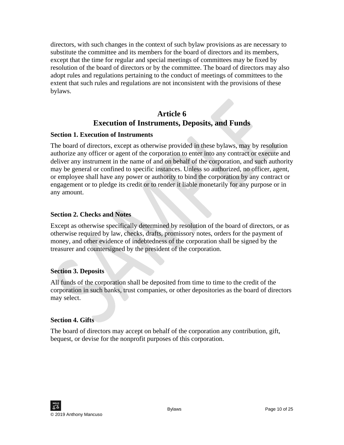directors, with such changes in the context of such bylaw provisions as are necessary to substitute the committee and its members for the board of directors and its members, except that the time for regular and special meetings of committees may be fixed by resolution of the board of directors or by the committee. The board of directors may also adopt rules and regulations pertaining to the conduct of meetings of committees to the extent that such rules and regulations are not inconsistent with the provisions of these bylaws.

## **Article 6 Execution of Instruments, Deposits, and Funds**

#### **Section 1. Execution of Instruments**

The board of directors, except as otherwise provided in these bylaws, may by resolution authorize any officer or agent of the corporation to enter into any contract or execute and deliver any instrument in the name of and on behalf of the corporation, and such authority may be general or confined to specific instances. Unless so authorized, no officer, agent, or employee shall have any power or authority to bind the corporation by any contract or engagement or to pledge its credit or to render it liable monetarily for any purpose or in any amount.

#### **Section 2. Checks and Notes**

Except as otherwise specifically determined by resolution of the board of directors, or as otherwise required by law, checks, drafts, promissory notes, orders for the payment of money, and other evidence of indebtedness of the corporation shall be signed by the treasurer and countersigned by the president of the corporation.

#### **Section 3. Deposits**

All funds of the corporation shall be deposited from time to time to the credit of the corporation in such banks, trust companies, or other depositories as the board of directors may select.

#### **Section 4. Gifts**

The board of directors may accept on behalf of the corporation any contribution, gift, bequest, or devise for the nonprofit purposes of this corporation.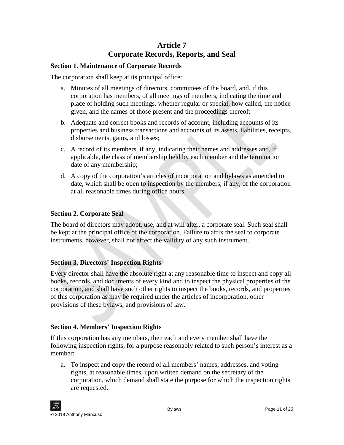# **Article 7 Corporate Records, Reports, and Seal**

#### **Section 1. Maintenance of Corporate Records**

The corporation shall keep at its principal office:

- a. Minutes of all meetings of directors, committees of the board, and, if this corporation has members, of all meetings of members, indicating the time and place of holding such meetings, whether regular or special, how called, the notice given, and the names of those present and the proceedings thereof;
- b. Adequate and correct books and records of account, including accounts of its properties and business transactions and accounts of its assets, liabilities, receipts, disbursements, gains, and losses;
- c. A record of its members, if any, indicating their names and addresses and, if applicable, the class of membership held by each member and the termination date of any membership;
- d. A copy of the corporation's articles of incorporation and bylaws as amended to date, which shall be open to inspection by the members, if any, of the corporation at all reasonable times during office hours.

## **Section 2. Corporate Seal**

The board of directors may adopt, use, and at will alter, a corporate seal. Such seal shall be kept at the principal office of the corporation. Failure to affix the seal to corporate instruments, however, shall not affect the validity of any such instrument.

## **Section 3. Directors' Inspection Rights**

Every director shall have the absolute right at any reasonable time to inspect and copy all books, records, and documents of every kind and to inspect the physical properties of the corporation, and shall have such other rights to inspect the books, records, and properties of this corporation as may be required under the articles of incorporation, other provisions of these bylaws, and provisions of law.

#### **Section 4. Members' Inspection Rights**

If this corporation has any members, then each and every member shall have the following inspection rights, for a purpose reasonably related to such person's interest as a member:

a. To inspect and copy the record of all members' names, addresses, and voting rights, at reasonable times, upon written demand on the secretary of the corporation, which demand shall state the purpose for which the inspection rights are requested.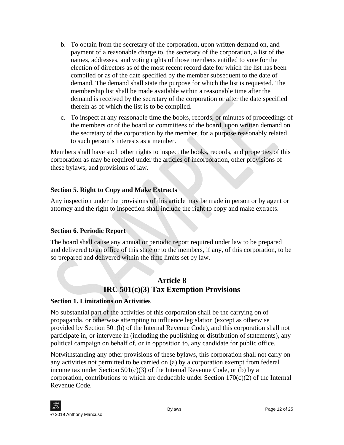- b. To obtain from the secretary of the corporation, upon written demand on, and payment of a reasonable charge to, the secretary of the corporation, a list of the names, addresses, and voting rights of those members entitled to vote for the election of directors as of the most recent record date for which the list has been compiled or as of the date specified by the member subsequent to the date of demand. The demand shall state the purpose for which the list is requested. The membership list shall be made available within a reasonable time after the demand is received by the secretary of the corporation or after the date specified therein as of which the list is to be compiled.
- c. To inspect at any reasonable time the books, records, or minutes of proceedings of the members or of the board or committees of the board, upon written demand on the secretary of the corporation by the member, for a purpose reasonably related to such person's interests as a member.

Members shall have such other rights to inspect the books, records, and properties of this corporation as may be required under the articles of incorporation, other provisions of these bylaws, and provisions of law.

### **Section 5. Right to Copy and Make Extracts**

Any inspection under the provisions of this article may be made in person or by agent or attorney and the right to inspection shall include the right to copy and make extracts.

#### **Section 6. Periodic Report**

The board shall cause any annual or periodic report required under law to be prepared and delivered to an office of this state or to the members, if any, of this corporation, to be so prepared and delivered within the time limits set by law.

## **Article 8 IRC 501(c)(3) Tax Exemption Provisions**

#### **Section 1. Limitations on Activities**

No substantial part of the activities of this corporation shall be the carrying on of propaganda, or otherwise attempting to influence legislation (except as otherwise provided by Section 501(h) of the Internal Revenue Code), and this corporation shall not participate in, or intervene in (including the publishing or distribution of statements), any political campaign on behalf of, or in opposition to, any candidate for public office.

Notwithstanding any other provisions of these bylaws, this corporation shall not carry on any activities not permitted to be carried on (a) by a corporation exempt from federal income tax under Section  $501(c)(3)$  of the Internal Revenue Code, or (b) by a corporation, contributions to which are deductible under Section  $170(c)(2)$  of the Internal Revenue Code.